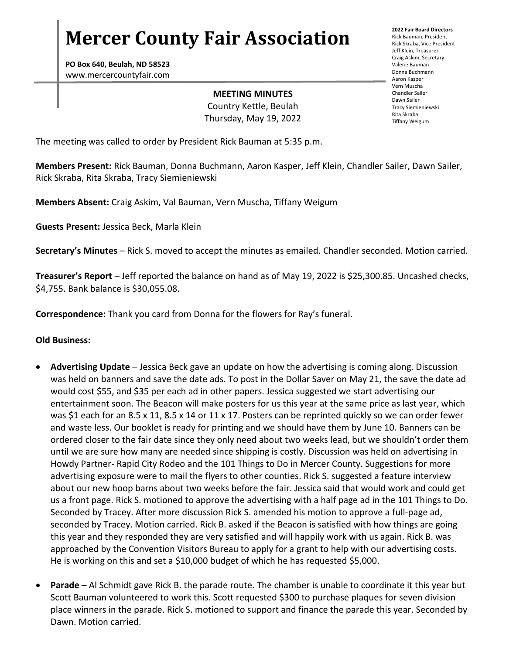# **Mercer County Fair Association**

**PO Box 640, Beulah, ND 58523** www.mercercountyfair.com

#### **MEETING MINUTES**

Country Kettle, Beulah Thursday, May 19, 2022 **2022 Fair Board Directors** Rick Bauman, President Rick Skraba, Vice President Jeff Klein, Treasurer Craig Askim, Secretary Valerie Bauman Donna Buchmann Aaron Kasper Vern Muscha Chandler Sailer Dawn Sailer Tracy Siemieniewski Rita Skraba Tiffany Weigum

The meeting was called to order by President Rick Bauman at 5:35 p.m.

**Members Present:** Rick Bauman, Donna Buchmann, Aaron Kasper, Jeff Klein, Chandler Sailer, Dawn Sailer, Rick Skraba, Rita Skraba, Tracy Siemieniewski

**Members Absent:** Craig Askim, Val Bauman, Vern Muscha, Tiffany Weigum

**Guests Present:** Jessica Beck, Marla Klein

**Secretary's Minutes** – Rick S. moved to accept the minutes as emailed. Chandler seconded. Motion carried.

**Treasurer's Report** – Jeff reported the balance on hand as of May 19, 2022 is \$25,300.85. Uncashed checks, \$4,755. Bank balance is \$30,055.08.

**Correspondence:** Thank you card from Donna for the flowers for Ray's funeral.

### **Old Business:**

- **Advertising Update**  Jessica Beck gave an update on how the advertising is coming along. Discussion was held on banners and save the date ads. To post in the Dollar Saver on May 21, the save the date ad would cost \$55, and \$35 per each ad in other papers. Jessica suggested we start advertising our entertainment soon. The Beacon will make posters for us this year at the same price as last year, which was \$1 each for an 8.5 x 11, 8.5 x 14 or 11 x 17. Posters can be reprinted quickly so we can order fewer and waste less. Our booklet is ready for printing and we should have them by June 10. Banners can be ordered closer to the fair date since they only need about two weeks lead, but we shouldn't order them until we are sure how many are needed since shipping is costly. Discussion was held on advertising in Howdy Partner- Rapid City Rodeo and the 101 Things to Do in Mercer County. Suggestions for more advertising exposure were to mail the flyers to other counties. Rick S. suggested a feature interview about our new hoop barns about two weeks before the fair. Jessica said that would work and could get us a front page. Rick S. motioned to approve the advertising with a half page ad in the 101 Things to Do. Seconded by Tracey. After more discussion Rick S. amended his motion to approve a full-page ad, seconded by Tracey. Motion carried. Rick B. asked if the Beacon is satisfied with how things are going this year and they responded they are very satisfied and will happily work with us again. Rick B. was approached by the Convention Visitors Bureau to apply for a grant to help with our advertising costs. He is working on this and set a \$10,000 budget of which he has requested \$5,000.
- **Parade** Al Schmidt gave Rick B. the parade route. The chamber is unable to coordinate it this year but Scott Bauman volunteered to work this. Scott requested \$300 to purchase plaques for seven division place winners in the parade. Rick S. motioned to support and finance the parade this year. Seconded by Dawn. Motion carried.